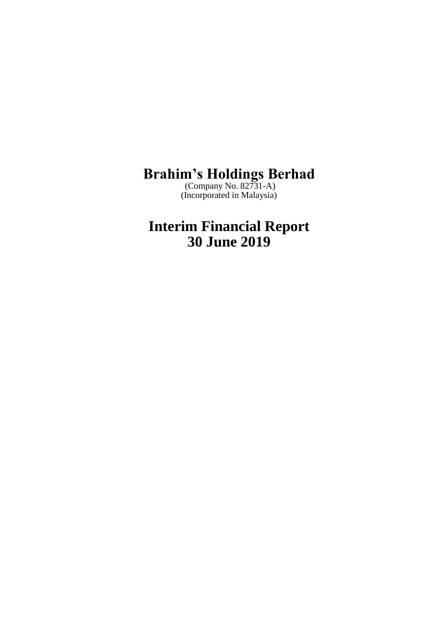(Company No. 82731-A) (Incorporated in Malaysia)

**Interim Financial Report 30 June 2019**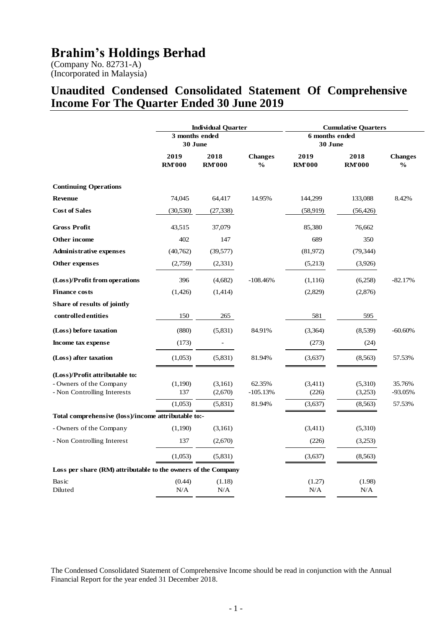(Company No. 82731-A) (Incorporated in Malaysia)

# **Unaudited Condensed Consolidated Statement Of Comprehensive Income For The Quarter Ended 30 June 2019**

|                                                               |                           | <b>Individual Quarter</b> |                                 |                           | <b>Cumulative Ouarters</b> |                                 |
|---------------------------------------------------------------|---------------------------|---------------------------|---------------------------------|---------------------------|----------------------------|---------------------------------|
|                                                               | 3 months ended<br>30 June |                           |                                 | 6 months ended<br>30 June |                            |                                 |
|                                                               | 2019<br><b>RMT000</b>     | 2018<br><b>RM'000</b>     | <b>Changes</b><br>$\frac{6}{6}$ | 2019<br><b>RM'000</b>     | 2018<br><b>RMT000</b>      | <b>Changes</b><br>$\frac{6}{6}$ |
| <b>Continuing Operations</b>                                  |                           |                           |                                 |                           |                            |                                 |
| <b>Revenue</b>                                                | 74,045                    | 64,417                    | 14.95%                          | 144,299                   | 133,088                    | 8.42%                           |
| <b>Cost of Sales</b>                                          | (30, 530)                 | (27, 338)                 |                                 | (58, 919)                 | (56, 426)                  |                                 |
| <b>Gross Profit</b>                                           | 43,515                    | 37,079                    |                                 | 85,380                    | 76,662                     |                                 |
| Other income                                                  | 402                       | 147                       |                                 | 689                       | 350                        |                                 |
| <b>Administrative expenses</b>                                | (40,762)                  | (39, 577)                 |                                 | (81,972)                  | (79, 344)                  |                                 |
| Other expenses                                                | (2,759)                   | (2,331)                   |                                 | (5,213)                   | (3,926)                    |                                 |
| (Loss)/Profit from operations                                 | 396                       | (4,682)                   | $-108.46%$                      | (1,116)                   | (6,258)                    | $-82.17%$                       |
| <b>Finance costs</b>                                          | (1,426)                   | (1,414)                   |                                 | (2,829)                   | (2,876)                    |                                 |
| Share of results of jointly                                   |                           |                           |                                 |                           |                            |                                 |
| controlled entities                                           | 150                       | 265                       |                                 | 581                       | 595                        |                                 |
| (Loss) before taxation                                        | (880)                     | (5,831)                   | 84.91%                          | (3,364)                   | (8,539)                    | -60.60%                         |
| Income tax expense                                            | (173)                     |                           |                                 | (273)                     | (24)                       |                                 |
| (Loss) after taxation                                         | (1,053)                   | (5,831)                   | 81.94%                          | (3,637)                   | (8, 563)                   | 57.53%                          |
| (Loss)/Profit attributable to:                                |                           |                           |                                 |                           |                            |                                 |
| - Owners of the Company                                       | (1,190)                   | (3,161)                   | 62.35%                          | (3,411)                   | (5,310)                    | 35.76%                          |
| - Non Controlling Interests                                   | 137                       | (2,670)                   | $-105.13%$                      | (226)                     | (3,253)                    | -93.05%                         |
| Total comprehensive (loss)/income attributable to:-           | (1,053)                   | (5,831)                   | 81.94%                          | (3,637)                   | (8, 563)                   | 57.53%                          |
| - Owners of the Company                                       | (1,190)                   | (3,161)                   |                                 | (3,411)                   | (5,310)                    |                                 |
| - Non Controlling Interest                                    | 137                       | (2,670)                   |                                 | (226)                     | (3,253)                    |                                 |
|                                                               | (1,053)                   | (5,831)                   |                                 | (3,637)                   | (8,563)                    |                                 |
| Loss per share (RM) attributable to the owners of the Company |                           |                           |                                 |                           |                            |                                 |
| Basic<br>Diluted                                              | (0.44)<br>N/A             | (1.18)<br>N/A             |                                 | (1.27)<br>N/A             | (1.98)<br>N/A              |                                 |

The Condensed Consolidated Statement of Comprehensive Income should be read in conjunction with the Annual Financial Report for the year ended 31 December 2018.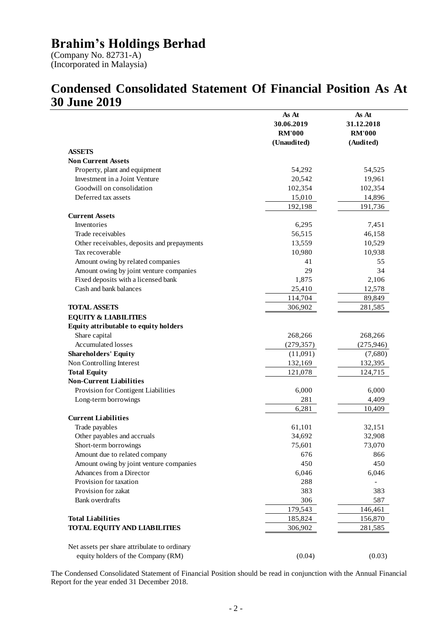(Company No. 82731-A) (Incorporated in Malaysia)

#### **Condensed Consolidated Statement Of Financial Position As At 30 June 2019**  $\overline{\phantom{0}}$

|                                              | As At         | As At                    |
|----------------------------------------------|---------------|--------------------------|
|                                              | 30.06.2019    | 31.12.2018               |
|                                              | <b>RM'000</b> | <b>RM'000</b>            |
|                                              | (Unaudited)   | (Audited)                |
| <b>ASSETS</b>                                |               |                          |
| <b>Non Current Assets</b>                    |               |                          |
| Property, plant and equipment                | 54,292        | 54,525                   |
| Investment in a Joint Venture                | 20,542        | 19,961                   |
| Goodwill on consolidation                    | 102,354       | 102,354                  |
| Deferred tax assets                          | 15,010        | 14,896                   |
|                                              | 192,198       | 191,736                  |
| <b>Current Assets</b>                        |               |                          |
| Inventories                                  | 6,295         | 7,451                    |
| Trade receivables                            | 56,515        | 46,158                   |
| Other receivables, deposits and prepayments  | 13,559        | 10,529                   |
| Tax recoverable                              | 10,980        | 10,938                   |
| Amount owing by related companies            | 41            | 55                       |
| Amount owing by joint venture companies      | 29            | 34                       |
| Fixed deposits with a licensed bank          | 1,875         | 2,106                    |
| Cash and bank balances                       | 25,410        | 12,578                   |
|                                              | 114,704       | 89,849                   |
| <b>TOTAL ASSETS</b>                          | 306,902       | 281,585                  |
| <b>EQUITY &amp; LIABILITIES</b>              |               |                          |
| Equity attributable to equity holders        |               |                          |
| Share capital                                | 268,266       | 268,266                  |
| Accumulated losses                           | (279, 357)    | (275, 946)               |
| <b>Shareholders' Equity</b>                  | (11,091)      | (7,680)                  |
| Non Controlling Interest                     | 132,169       | 132,395                  |
| <b>Total Equity</b>                          | 121,078       | 124,715                  |
| <b>Non-Current Liabilities</b>               |               |                          |
| Provision for Contigent Liabilities          | 6,000         | 6,000                    |
| Long-term borrowings                         | 281           | 4,409                    |
|                                              | 6,281         | 10,409                   |
| <b>Current Liabilities</b>                   |               |                          |
| Trade payables                               | 61,101        | 32,151                   |
| Other payables and accruals                  | 34,692        | 32,908                   |
| Short-term borrowings                        | 75,601        | 73,070                   |
| Amount due to related company                | 676           | 866                      |
| Amount owing by joint venture companies      | 450           | 450                      |
| Advances from a Director                     | 6,046         | 6,046                    |
| Provision for taxation                       | 288           | $\overline{\phantom{a}}$ |
| Provision for zakat                          | 383           | 383                      |
| <b>Bank</b> overdrafts                       | 306           | 587                      |
|                                              | 179,543       | 146,461                  |
| <b>Total Liabilities</b>                     | 185,824       | 156,870                  |
| <b>TOTAL EQUITY AND LIABILITIES</b>          | 306,902       | 281,585                  |
|                                              |               |                          |
| Net assets per share attribulate to ordinary |               |                          |
| equity holders of the Company (RM)           | (0.04)        | (0.03)                   |
|                                              |               |                          |

The Condensed Consolidated Statement of Financial Position should be read in conjunction with the Annual Financial Report for the year ended 31 December 2018.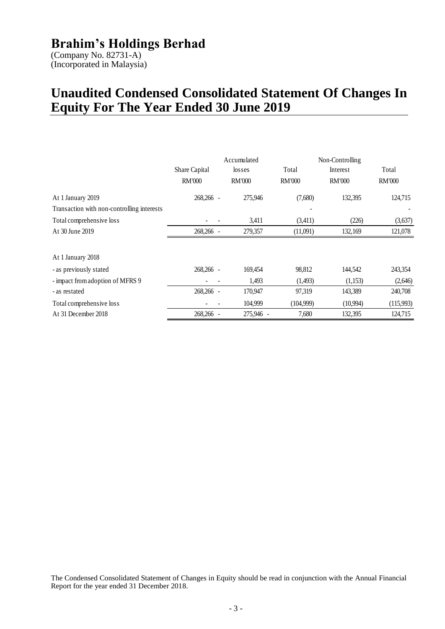(Company No. 82731-A) (Incorporated in Malaysia)

# **Unaudited Condensed Consolidated Statement Of Changes In Equity For The Year Ended 30 June 2019**

|                                            | Share Capital<br><b>RM'000</b> | Accumulated<br>losses<br><b>RM'000</b> | Total<br><b>RM'000</b> | Non-Controlling<br>Interest<br><b>RM'000</b> | Total<br><b>RM'000</b> |
|--------------------------------------------|--------------------------------|----------------------------------------|------------------------|----------------------------------------------|------------------------|
| At 1 January 2019                          | 268,266 -                      | 275,946                                | (7,680)                | 132,395                                      | 124,715                |
| Transaction with non-controlling interests |                                |                                        |                        |                                              |                        |
| Total comprehensive loss                   |                                | 3,411                                  | (3,411)                | (226)                                        | (3,637)                |
| At 30 June 2019                            | 268,266 -                      | 279,357                                | (11,091)               | 132,169                                      | 121,078                |
| At 1 January 2018                          |                                |                                        |                        |                                              |                        |
| - as previously stated                     | 268,266 -                      | 169,454                                | 98,812                 | 144,542                                      | 243,354                |
| - impact from adoption of MFRS 9           |                                | 1,493                                  | (1,493)                | (1,153)                                      | (2,646)                |
| - as restated                              | 268,266 -                      | 170,947                                | 97,319                 | 143,389                                      | 240,708                |
| Total comprehensive loss                   |                                | 104,999                                | (104,999)              | (10,994)                                     | (115,993)              |
| At 31 December 2018                        | 268,266 -                      | 275,946 -                              | 7,680                  | 132,395                                      | 124,715                |

The Condensed Consolidated Statement of Changes in Equity should be read in conjunction with the Annual Financial Report for the year ended 31 December 2018.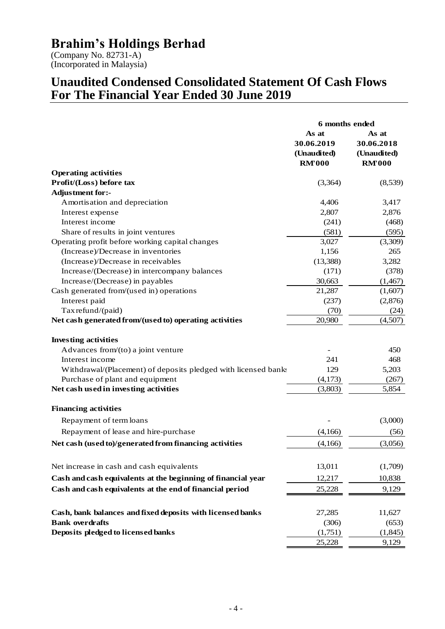(Company No. 82731-A) (Incorporated in Malaysia)

### **Unaudited Condensed Consolidated Statement Of Cash Flows For The Financial Year Ended 30 June 2019**

|                                                                | 6 months ended                     |                                    |  |
|----------------------------------------------------------------|------------------------------------|------------------------------------|--|
|                                                                | As at<br>30.06.2019<br>(Unaudited) | As at<br>30.06.2018<br>(Unaudited) |  |
|                                                                | <b>RMT000</b>                      | <b>RM'000</b>                      |  |
| <b>Operating activities</b>                                    |                                    |                                    |  |
| Profit/(Loss) before tax                                       | (3,364)                            | (8,539)                            |  |
| Adjustment for:-                                               |                                    |                                    |  |
| Amortisation and depreciation                                  | 4,406                              | 3,417                              |  |
| Interest expense                                               | 2,807                              | 2,876                              |  |
| Interest income                                                | (241)                              | (468)                              |  |
| Share of results in joint ventures                             | (581)                              | (595)                              |  |
| Operating profit before working capital changes                | 3,027                              | (3,309)                            |  |
| (Increase)/Decrease in inventories                             | 1,156                              | 265                                |  |
| (Increase)/Decrease in receivables                             | (13, 388)                          | 3,282                              |  |
| Increase/(Decrease) in intercompany balances                   | (171)                              | (378)                              |  |
| Increase/(Decrease) in payables                                | 30,663                             | (1,467)                            |  |
| Cash generated from/(used in) operations                       | 21,287                             | (1,607)                            |  |
| Interest paid                                                  | (237)                              | (2,876)                            |  |
| Tax refund/(paid)                                              | (70)                               | (24)                               |  |
| Net cash generated from/(used to) operating activities         | 20,980                             | (4,507)                            |  |
| <b>Investing activities</b>                                    |                                    |                                    |  |
| Advances from/(to) a joint venture                             |                                    | 450                                |  |
| Interest income                                                | 241                                | 468                                |  |
| Withdrawal/(Placement) of deposits pledged with licensed banks | 129                                | 5,203                              |  |
| Purchase of plant and equipment                                | (4,173)                            | (267)                              |  |
| Net cash used in investing activities                          | (3,803)                            | 5,854                              |  |
| <b>Financing activities</b>                                    |                                    |                                    |  |
| Repayment of term loans                                        |                                    | (3,000)                            |  |
| Repayment of lease and hire-purchase                           | (4,166)                            | (56)                               |  |
| Net cash (used to)/generated from financing activities         | (4,166)                            | (3,056)                            |  |
|                                                                | 13,011                             |                                    |  |
| Net increase in cash and cash equivalents                      |                                    | (1,709)                            |  |
| Cash and cash equivalents at the beginning of financial year   | 12,217                             | 10,838                             |  |
| Cash and cash equivalents at the end of financial period       | 25,228                             | 9,129                              |  |
| Cash, bank balances and fixed deposits with licensed banks     | 27,285                             | 11,627                             |  |
| <b>Bank overdrafts</b>                                         | (306)                              | (653)                              |  |
| Deposits pledged to licensed banks                             | (1,751)                            | (1,845)                            |  |
|                                                                | 25,228                             | 9,129                              |  |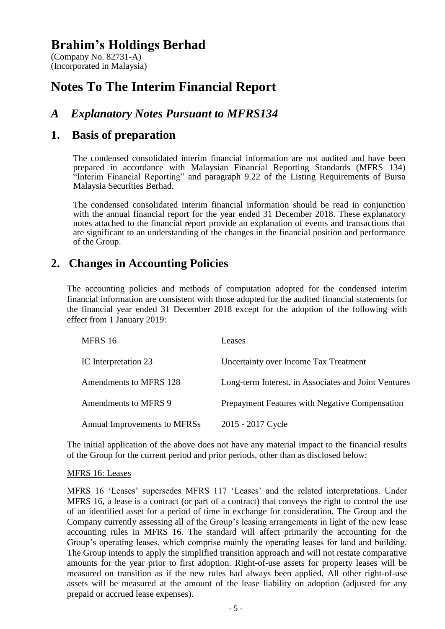(Company No. 82731-A) (Incorporated in Malaysia)

# **Notes To The Interim Financial Report**

### *A Explanatory Notes Pursuant to MFRS134*

#### **1. Basis of preparation**

The condensed consolidated interim financial information are not audited and have been prepared in accordance with Malaysian Financial Reporting Standards (MFRS 134) "Interim Financial Reporting" and paragraph 9.22 of the Listing Requirements of Bursa Malaysia Securities Berhad.

The condensed consolidated interim financial information should be read in conjunction with the annual financial report for the year ended 31 December 2018. These explanatory notes attached to the financial report provide an explanation of events and transactions that are significant to an understanding of the changes in the financial position and performance of the Group.

#### **2. Changes in Accounting Policies**

The accounting policies and methods of computation adopted for the condensed interim financial information are consistent with those adopted for the audited financial statements for the financial year ended 31 December 2018 except for the adoption of the following with effect from 1 January 2019:

| MFRS 16                      | Leases                                               |
|------------------------------|------------------------------------------------------|
| IC Interpretation 23         | Uncertainty over Income Tax Treatment                |
| Amendments to MFRS 128       | Long-term Interest, in Associates and Joint Ventures |
| Amendments to MFRS 9         | Prepayment Features with Negative Compensation       |
| Annual Improvements to MFRSs | 2015 - 2017 Cycle                                    |

The initial application of the above does not have any material impact to the financial results of the Group for the current period and prior periods, other than as disclosed below:

#### MFRS 16: Leases

MFRS 16 'Leases' supersedes MFRS 117 'Leases' and the related interpretations. Under MFRS 16, a lease is a contract (or part of a contract) that conveys the right to control the use of an identified asset for a period of time in exchange for consideration. The Group and the Company currently assessing all of the Group's leasing arrangements in light of the new lease accounting rules in MFRS 16. The standard will affect primarily the accounting for the Group's operating leases, which comprise mainly the operating leases for land and building. The Group intends to apply the simplified transition approach and will not restate comparative amounts for the year prior to first adoption. Right-of-use assets for property leases will be measured on transition as if the new rules had always been applied. All other right-of-use assets will be measured at the amount of the lease liability on adoption (adjusted for any prepaid or accrued lease expenses).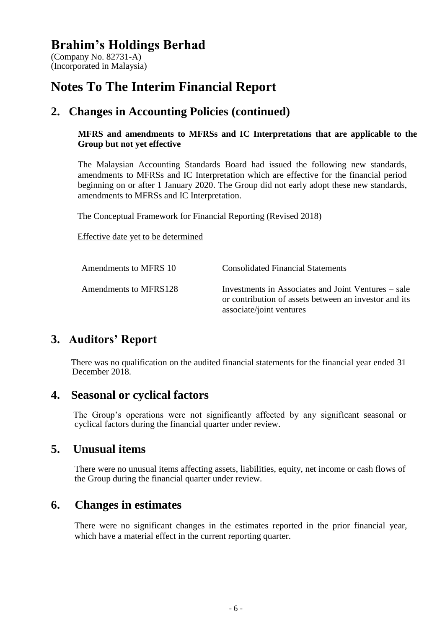(Company No. 82731-A) (Incorporated in Malaysia)

# **Notes To The Interim Financial Report**

#### **2. Changes in Accounting Policies (continued)**

#### **MFRS and amendments to MFRSs and IC Interpretations that are applicable to the Group but not yet effective**

The Malaysian Accounting Standards Board had issued the following new standards, amendments to MFRSs and IC Interpretation which are effective for the financial period beginning on or after 1 January 2020. The Group did not early adopt these new standards, amendments to MFRSs and IC Interpretation.

The Conceptual Framework for Financial Reporting (Revised 2018)

Effective date yet to be determined

| Amendments to MFRS 10 | <b>Consolidated Financial Statements</b>                                                                                                 |
|-----------------------|------------------------------------------------------------------------------------------------------------------------------------------|
| Amendments to MFRS128 | Investments in Associates and Joint Ventures – sale<br>or contribution of assets between an investor and its<br>associate/joint ventures |

# **3. Auditors' Report**

There was no qualification on the audited financial statements for the financial year ended 31 December 2018.

#### **4. Seasonal or cyclical factors**

The Group's operations were not significantly affected by any significant seasonal or cyclical factors during the financial quarter under review.

#### **5. Unusual items**

There were no unusual items affecting assets, liabilities, equity, net income or cash flows of the Group during the financial quarter under review.

#### **6. Changes in estimates**

There were no significant changes in the estimates reported in the prior financial year, which have a material effect in the current reporting quarter.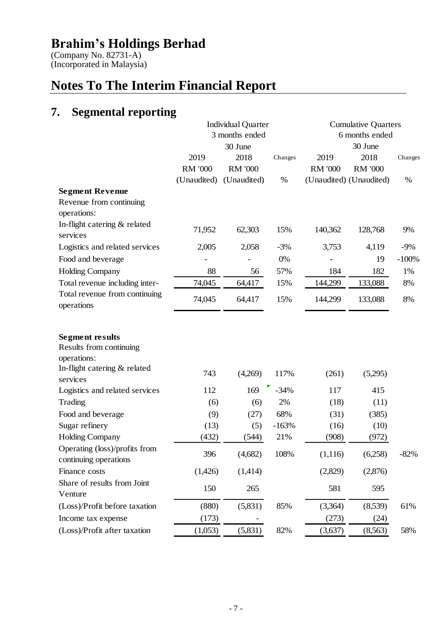(Company No. 82731-A) (Incorporated in Malaysia)

# **Notes To The Interim Financial Report**

# **7. Segmental reporting**

| 3 months ended<br>6 months ended<br>30 June<br>30 June<br>2019<br>2018<br>2019<br>2018<br>Changes<br>Changes<br><b>RM '000</b><br><b>RM '000</b><br><b>RM '000</b><br><b>RM '000</b><br>(Unaudited) (Unaudited)<br>$\%$<br>(Unaudited) (Unaudited)<br>$\%$<br>Revenue from continuing<br>operations:<br>In-flight catering & related<br>71,952<br>62,303<br>15%<br>140,362<br>128,768<br>9%<br>services<br>2,005<br>2,058<br>$-3%$<br>3,753<br>4,119<br>$-9%$<br>$-100%$<br>0%<br>19<br>88<br>57%<br>184<br>182<br>56<br>1%<br>Total revenue including inter-<br>74,045<br>15%<br>144,299<br>133,088<br>8%<br>64,417<br>Total revenue from continuing<br>74,045<br>15%<br>64,417<br>144,299<br>133,088<br>8%<br>operations<br><b>Segment results</b><br>Results from continuing<br>operations:<br>In-flight catering & related<br>743<br>(4,269)<br>117%<br>(261)<br>(5,295)<br>services<br>$-34%$<br>112<br>169<br>117<br>415<br>2%<br>Trading<br>(18)<br>(6)<br>(6)<br>(11)<br>68%<br>(9)<br>(27)<br>(31)<br>(385)<br>(13)<br>$-163%$<br>Sugar refinery<br>(16)<br>(10)<br>(5)<br>(432)<br>21%<br>(908)<br>(544)<br>(972)<br>Operating (loss)/profits from<br>396<br>(4,682)<br>108%<br>(1,116)<br>(6,258)<br>$-82%$<br>continuing operations<br>(1,426)<br>(1,414)<br>(2,829)<br>(2,876)<br>Share of results from Joint<br>595<br>150<br>265<br>581<br>Venture<br>(5,831)<br>(Loss)/Profit before taxation<br>(880)<br>85%<br>(3,364)<br>(8,539)<br>61%<br>(173)<br>(273)<br>(24)<br>Income tax expense |                                | <b>Individual Quarter</b> |     | <b>Cumulative Quarters</b> |     |
|------------------------------------------------------------------------------------------------------------------------------------------------------------------------------------------------------------------------------------------------------------------------------------------------------------------------------------------------------------------------------------------------------------------------------------------------------------------------------------------------------------------------------------------------------------------------------------------------------------------------------------------------------------------------------------------------------------------------------------------------------------------------------------------------------------------------------------------------------------------------------------------------------------------------------------------------------------------------------------------------------------------------------------------------------------------------------------------------------------------------------------------------------------------------------------------------------------------------------------------------------------------------------------------------------------------------------------------------------------------------------------------------------------------------------------------------------------------------------------------------------------|--------------------------------|---------------------------|-----|----------------------------|-----|
|                                                                                                                                                                                                                                                                                                                                                                                                                                                                                                                                                                                                                                                                                                                                                                                                                                                                                                                                                                                                                                                                                                                                                                                                                                                                                                                                                                                                                                                                                                            |                                |                           |     |                            |     |
|                                                                                                                                                                                                                                                                                                                                                                                                                                                                                                                                                                                                                                                                                                                                                                                                                                                                                                                                                                                                                                                                                                                                                                                                                                                                                                                                                                                                                                                                                                            |                                |                           |     |                            |     |
|                                                                                                                                                                                                                                                                                                                                                                                                                                                                                                                                                                                                                                                                                                                                                                                                                                                                                                                                                                                                                                                                                                                                                                                                                                                                                                                                                                                                                                                                                                            |                                |                           |     |                            |     |
|                                                                                                                                                                                                                                                                                                                                                                                                                                                                                                                                                                                                                                                                                                                                                                                                                                                                                                                                                                                                                                                                                                                                                                                                                                                                                                                                                                                                                                                                                                            |                                |                           |     |                            |     |
|                                                                                                                                                                                                                                                                                                                                                                                                                                                                                                                                                                                                                                                                                                                                                                                                                                                                                                                                                                                                                                                                                                                                                                                                                                                                                                                                                                                                                                                                                                            |                                |                           |     |                            |     |
|                                                                                                                                                                                                                                                                                                                                                                                                                                                                                                                                                                                                                                                                                                                                                                                                                                                                                                                                                                                                                                                                                                                                                                                                                                                                                                                                                                                                                                                                                                            | <b>Segment Revenue</b>         |                           |     |                            |     |
|                                                                                                                                                                                                                                                                                                                                                                                                                                                                                                                                                                                                                                                                                                                                                                                                                                                                                                                                                                                                                                                                                                                                                                                                                                                                                                                                                                                                                                                                                                            |                                |                           |     |                            |     |
|                                                                                                                                                                                                                                                                                                                                                                                                                                                                                                                                                                                                                                                                                                                                                                                                                                                                                                                                                                                                                                                                                                                                                                                                                                                                                                                                                                                                                                                                                                            |                                |                           |     |                            |     |
|                                                                                                                                                                                                                                                                                                                                                                                                                                                                                                                                                                                                                                                                                                                                                                                                                                                                                                                                                                                                                                                                                                                                                                                                                                                                                                                                                                                                                                                                                                            |                                |                           |     |                            |     |
|                                                                                                                                                                                                                                                                                                                                                                                                                                                                                                                                                                                                                                                                                                                                                                                                                                                                                                                                                                                                                                                                                                                                                                                                                                                                                                                                                                                                                                                                                                            | Logistics and related services |                           |     |                            |     |
|                                                                                                                                                                                                                                                                                                                                                                                                                                                                                                                                                                                                                                                                                                                                                                                                                                                                                                                                                                                                                                                                                                                                                                                                                                                                                                                                                                                                                                                                                                            | Food and beverage              |                           |     |                            |     |
|                                                                                                                                                                                                                                                                                                                                                                                                                                                                                                                                                                                                                                                                                                                                                                                                                                                                                                                                                                                                                                                                                                                                                                                                                                                                                                                                                                                                                                                                                                            | <b>Holding Company</b>         |                           |     |                            |     |
|                                                                                                                                                                                                                                                                                                                                                                                                                                                                                                                                                                                                                                                                                                                                                                                                                                                                                                                                                                                                                                                                                                                                                                                                                                                                                                                                                                                                                                                                                                            |                                |                           |     |                            |     |
|                                                                                                                                                                                                                                                                                                                                                                                                                                                                                                                                                                                                                                                                                                                                                                                                                                                                                                                                                                                                                                                                                                                                                                                                                                                                                                                                                                                                                                                                                                            |                                |                           |     |                            |     |
|                                                                                                                                                                                                                                                                                                                                                                                                                                                                                                                                                                                                                                                                                                                                                                                                                                                                                                                                                                                                                                                                                                                                                                                                                                                                                                                                                                                                                                                                                                            |                                |                           |     |                            |     |
|                                                                                                                                                                                                                                                                                                                                                                                                                                                                                                                                                                                                                                                                                                                                                                                                                                                                                                                                                                                                                                                                                                                                                                                                                                                                                                                                                                                                                                                                                                            |                                |                           |     |                            |     |
|                                                                                                                                                                                                                                                                                                                                                                                                                                                                                                                                                                                                                                                                                                                                                                                                                                                                                                                                                                                                                                                                                                                                                                                                                                                                                                                                                                                                                                                                                                            |                                |                           |     |                            |     |
|                                                                                                                                                                                                                                                                                                                                                                                                                                                                                                                                                                                                                                                                                                                                                                                                                                                                                                                                                                                                                                                                                                                                                                                                                                                                                                                                                                                                                                                                                                            |                                |                           |     |                            |     |
|                                                                                                                                                                                                                                                                                                                                                                                                                                                                                                                                                                                                                                                                                                                                                                                                                                                                                                                                                                                                                                                                                                                                                                                                                                                                                                                                                                                                                                                                                                            | Logistics and related services |                           |     |                            |     |
|                                                                                                                                                                                                                                                                                                                                                                                                                                                                                                                                                                                                                                                                                                                                                                                                                                                                                                                                                                                                                                                                                                                                                                                                                                                                                                                                                                                                                                                                                                            |                                |                           |     |                            |     |
|                                                                                                                                                                                                                                                                                                                                                                                                                                                                                                                                                                                                                                                                                                                                                                                                                                                                                                                                                                                                                                                                                                                                                                                                                                                                                                                                                                                                                                                                                                            | Food and beverage              |                           |     |                            |     |
|                                                                                                                                                                                                                                                                                                                                                                                                                                                                                                                                                                                                                                                                                                                                                                                                                                                                                                                                                                                                                                                                                                                                                                                                                                                                                                                                                                                                                                                                                                            |                                |                           |     |                            |     |
|                                                                                                                                                                                                                                                                                                                                                                                                                                                                                                                                                                                                                                                                                                                                                                                                                                                                                                                                                                                                                                                                                                                                                                                                                                                                                                                                                                                                                                                                                                            | <b>Holding Company</b>         |                           |     |                            |     |
|                                                                                                                                                                                                                                                                                                                                                                                                                                                                                                                                                                                                                                                                                                                                                                                                                                                                                                                                                                                                                                                                                                                                                                                                                                                                                                                                                                                                                                                                                                            |                                |                           |     |                            |     |
|                                                                                                                                                                                                                                                                                                                                                                                                                                                                                                                                                                                                                                                                                                                                                                                                                                                                                                                                                                                                                                                                                                                                                                                                                                                                                                                                                                                                                                                                                                            | Finance costs                  |                           |     |                            |     |
|                                                                                                                                                                                                                                                                                                                                                                                                                                                                                                                                                                                                                                                                                                                                                                                                                                                                                                                                                                                                                                                                                                                                                                                                                                                                                                                                                                                                                                                                                                            |                                |                           |     |                            |     |
|                                                                                                                                                                                                                                                                                                                                                                                                                                                                                                                                                                                                                                                                                                                                                                                                                                                                                                                                                                                                                                                                                                                                                                                                                                                                                                                                                                                                                                                                                                            |                                |                           |     |                            |     |
|                                                                                                                                                                                                                                                                                                                                                                                                                                                                                                                                                                                                                                                                                                                                                                                                                                                                                                                                                                                                                                                                                                                                                                                                                                                                                                                                                                                                                                                                                                            |                                |                           |     |                            |     |
| (1,053)<br>(3,637)                                                                                                                                                                                                                                                                                                                                                                                                                                                                                                                                                                                                                                                                                                                                                                                                                                                                                                                                                                                                                                                                                                                                                                                                                                                                                                                                                                                                                                                                                         | (Loss)/Profit after taxation   | (5,831)                   | 82% | (8,563)                    | 58% |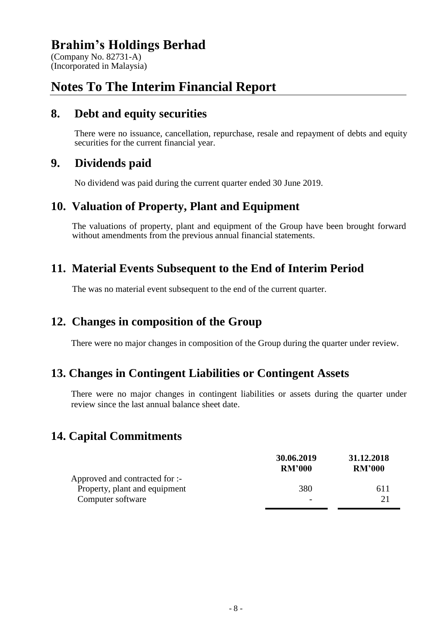(Company No. 82731-A) (Incorporated in Malaysia)

# **Notes To The Interim Financial Report**

#### **8. Debt and equity securities**

There were no issuance, cancellation, repurchase, resale and repayment of debts and equity securities for the current financial year.

### **9. Dividends paid**

No dividend was paid during the current quarter ended 30 June 2019.

### **10. Valuation of Property, Plant and Equipment**

The valuations of property, plant and equipment of the Group have been brought forward without amendments from the previous annual financial statements.

# **11. Material Events Subsequent to the End of Interim Period**

The was no material event subsequent to the end of the current quarter.

# **12. Changes in composition of the Group**

There were no major changes in composition of the Group during the quarter under review.

# **13. Changes in Contingent Liabilities or Contingent Assets**

There were no major changes in contingent liabilities or assets during the quarter under review since the last annual balance sheet date.

# **14. Capital Commitments**

|                                | 30.06.2019<br><b>RM'000</b> | 31.12.2018<br><b>RM'000</b> |
|--------------------------------|-----------------------------|-----------------------------|
| Approved and contracted for :- |                             |                             |
| Property, plant and equipment  | 380                         | 611                         |
| Computer software              | $\overline{\phantom{0}}$    | 21                          |
|                                |                             |                             |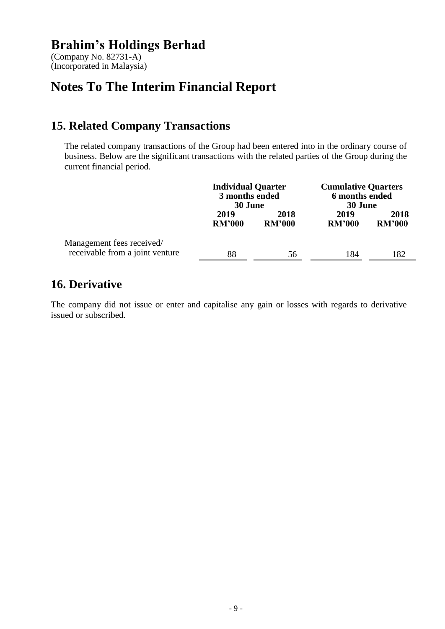(Company No. 82731-A) (Incorporated in Malaysia)

# **Notes To The Interim Financial Report**

# **15. Related Company Transactions**

The related company transactions of the Group had been entered into in the ordinary course of business. Below are the significant transactions with the related parties of the Group during the current financial period.

|                                                              | <b>Individual Quarter</b><br>3 months ended<br>30 June |                       | <b>Cumulative Quarters</b><br>6 months ended<br>30 June |                       |
|--------------------------------------------------------------|--------------------------------------------------------|-----------------------|---------------------------------------------------------|-----------------------|
|                                                              | 2019<br><b>RM'000</b>                                  | 2018<br><b>RM'000</b> | 2019<br><b>RM'000</b>                                   | 2018<br><b>RM'000</b> |
| Management fees received/<br>receivable from a joint venture | 88                                                     | 56                    | 184                                                     | 182                   |

### **16. Derivative**

The company did not issue or enter and capitalise any gain or losses with regards to derivative issued or subscribed.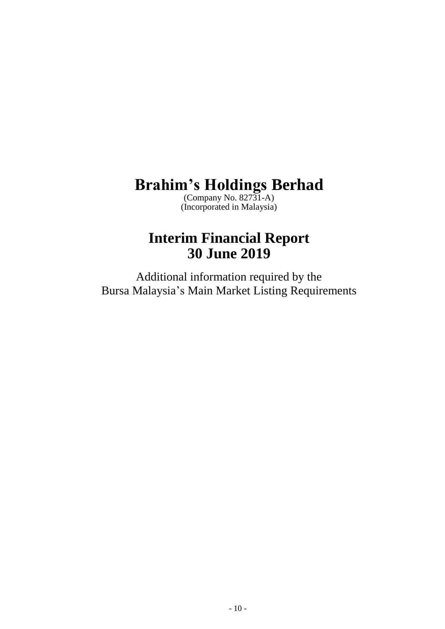(Company No. 82731-A) (Incorporated in Malaysia)

# **Interim Financial Report 30 June 2019**

Additional information required by the Bursa Malaysia's Main Market Listing Requirements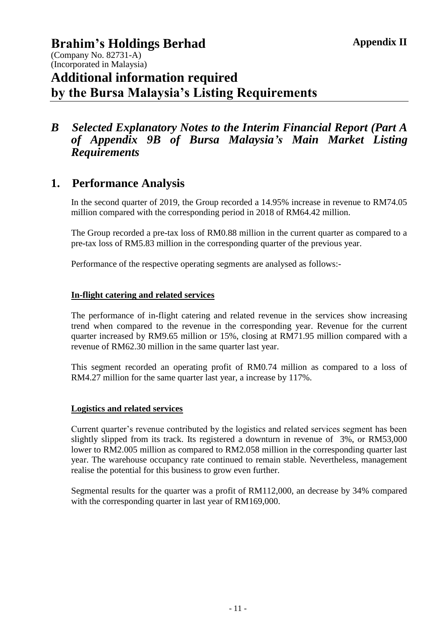(Company No. 82731-A) (Incorporated in Malaysia)

# **Additional information required by the Bursa Malaysia's Listing Requirements**

#### *B Selected Explanatory Notes to the Interim Financial Report (Part A of Appendix 9B of Bursa Malaysia's Main Market Listing Requirements*

# **1. Performance Analysis**

In the second quarter of 2019, the Group recorded a 14.95% increase in revenue to RM74.05 million compared with the corresponding period in 2018 of RM64.42 million.

The Group recorded a pre-tax loss of RM0.88 million in the current quarter as compared to a pre-tax loss of RM5.83 million in the corresponding quarter of the previous year.

Performance of the respective operating segments are analysed as follows:-

#### **In-flight catering and related services**

The performance of in-flight catering and related revenue in the services show increasing trend when compared to the revenue in the corresponding year. Revenue for the current quarter increased by RM9.65 million or 15%, closing at RM71.95 million compared with a revenue of RM62.30 million in the same quarter last year.

This segment recorded an operating profit of RM0.74 million as compared to a loss of RM4.27 million for the same quarter last year, a increase by 117%.

#### **Logistics and related services**

Current quarter's revenue contributed by the logistics and related services segment has been slightly slipped from its track. Its registered a downturn in revenue of 3%, or RM53,000 lower to RM2.005 million as compared to RM2.058 million in the corresponding quarter last year. The warehouse occupancy rate continued to remain stable. Nevertheless, management realise the potential for this business to grow even further.

Segmental results for the quarter was a profit of RM112,000, an decrease by 34% compared with the corresponding quarter in last year of RM169,000.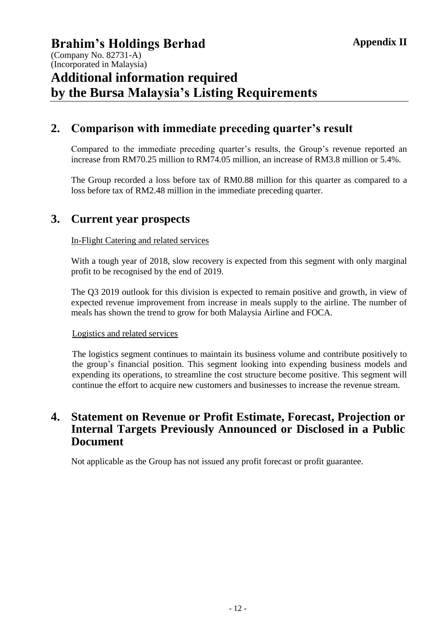(Company No. 82731-A) (Incorporated in Malaysia)

# **Additional information required by the Bursa Malaysia's Listing Requirements**

# **2. Comparison with immediate preceding quarter's result**

Compared to the immediate preceding quarter's results, the Group's revenue reported an increase from RM70.25 million to RM74.05 million, an increase of RM3.8 million or 5.4%.

The Group recorded a loss before tax of RM0.88 million for this quarter as compared to a loss before tax of RM2.48 million in the immediate preceding quarter.

#### **3. Current year prospects**

#### In-Flight Catering and related services

With a tough year of 2018, slow recovery is expected from this segment with only marginal profit to be recognised by the end of 2019.

The Q3 2019 outlook for this division is expected to remain positive and growth, in view of expected revenue improvement from increase in meals supply to the airline. The number of meals has shown the trend to grow for both Malaysia Airline and FOCA.

#### Logistics and related services

The logistics segment continues to maintain its business volume and contribute positively to the group's financial position. This segment looking into expending business models and expending its operations, to streamline the cost structure become positive. This segment will continue the effort to acquire new customers and businesses to increase the revenue stream.

#### **4. Statement on Revenue or Profit Estimate, Forecast, Projection or Internal Targets Previously Announced or Disclosed in a Public Document**

Not applicable as the Group has not issued any profit forecast or profit guarantee.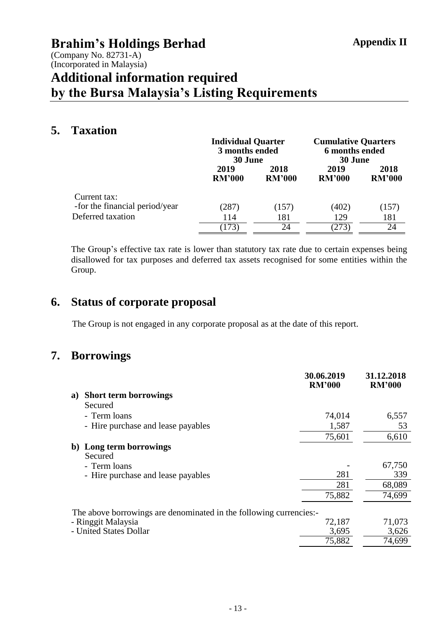(Company No. 82731-A) (Incorporated in Malaysia)

# **Additional information required by the Bursa Malaysia's Listing Requirements**

### **5. Taxation**

|                                                | <b>Individual Quarter</b><br>3 months ended<br>30 June |                       | <b>Cumulative Quarters</b><br>6 months ended<br>30 June |                       |
|------------------------------------------------|--------------------------------------------------------|-----------------------|---------------------------------------------------------|-----------------------|
|                                                | 2019<br><b>RM'000</b>                                  | 2018<br><b>RM'000</b> | 2019<br><b>RM'000</b>                                   | 2018<br><b>RM'000</b> |
| Current tax:<br>-for the financial period/year | (287)                                                  | (157)                 | (402)                                                   | (157)                 |
| Deferred taxation                              | 114                                                    | 181                   | 129                                                     | 181                   |
|                                                | 173)                                                   | 24                    | (273)                                                   | 24                    |

The Group's effective tax rate is lower than statutory tax rate due to certain expenses being disallowed for tax purposes and deferred tax assets recognised for some entities within the Group.

# **6. Status of corporate proposal**

The Group is not engaged in any corporate proposal as at the date of this report.

# **7. Borrowings**

|    |                                                                   | 30.06.2019<br><b>RM'000</b> | 31.12.2018<br><b>RM'000</b> |
|----|-------------------------------------------------------------------|-----------------------------|-----------------------------|
| a) | <b>Short term borrowings</b>                                      |                             |                             |
|    | Secured                                                           |                             |                             |
|    | - Term loans                                                      | 74,014                      | 6,557                       |
|    | - Hire purchase and lease payables                                | 1,587                       | 53                          |
|    |                                                                   | 75,601                      | 6,610                       |
| b) | Long term borrowings<br>Secured                                   |                             |                             |
|    | - Term loans                                                      |                             | 67,750                      |
|    | - Hire purchase and lease payables                                | 281                         | 339                         |
|    |                                                                   | 281                         | 68,089                      |
|    |                                                                   | 75,882                      | 74,699                      |
|    | The above borrowings are denominated in the following currencies: |                             |                             |
|    | - Ringgit Malaysia                                                | 72,187                      | 71,073                      |
|    | - United States Dollar                                            | 3,695                       | 3,626                       |
|    |                                                                   | 75,882                      | 74,699                      |